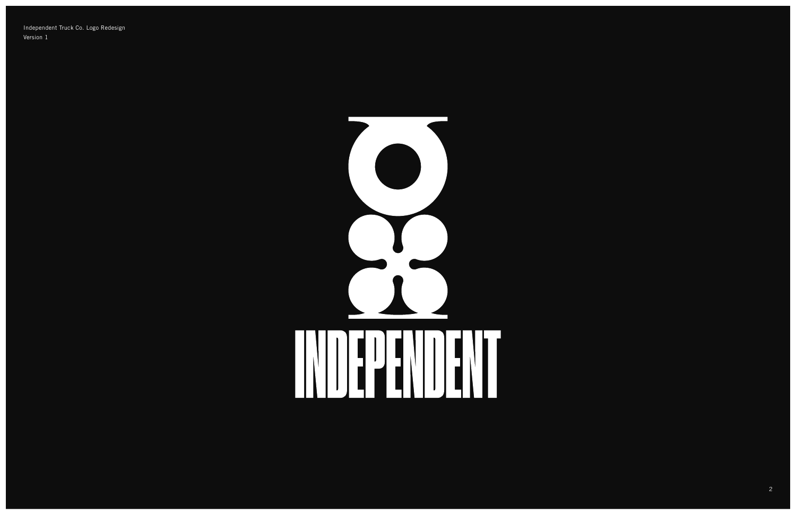Independent Truck Co. Logo Redesign Version 1

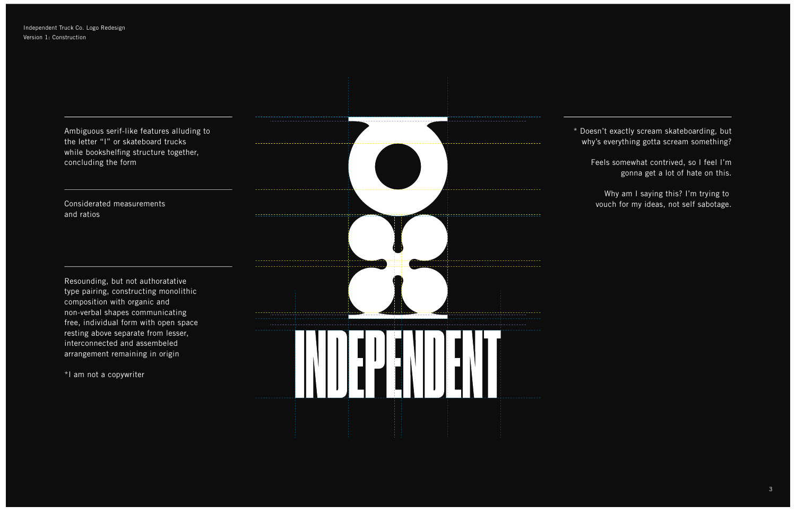Ambiguous serif-like features alluding to the letter "I" or skateboard trucks while bookshelfing structure together, concluding the form

\* Doesn't exactly scream skateboarding, but why's everything gotta scream something?

Feels somewhat contrived, so I feel I'm gonna get a lot of hate on this.

Why am I saying this? I'm trying to vouch for my ideas, not self sabotage.

Resounding, but not authoratative type pairing, constructing monolithic composition with organic and non-verbal shapes communicating free, individual form with open space resting above separate from lesser, interconnected and assembeled arrangement remaining in origin

\*I am not a copywriter



Considerated measurements and ratios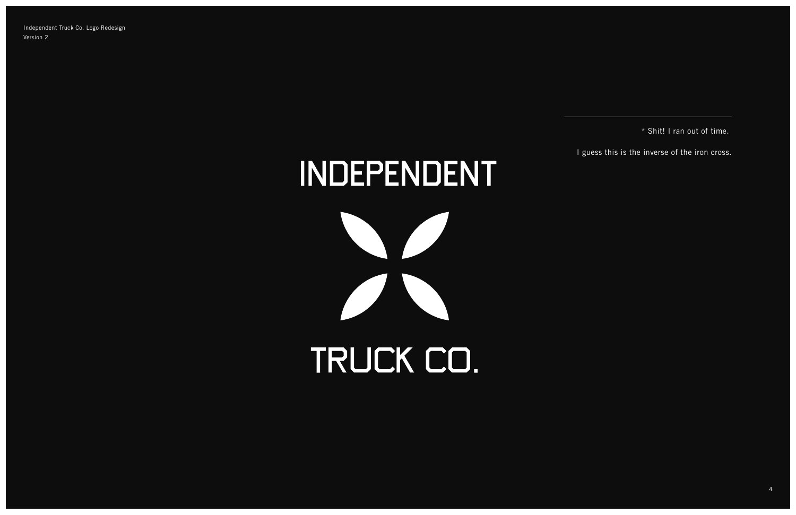\* Shit! I ran out of time.

I guess this is the inverse of the iron cross.

Independent Truck Co. Logo Redesign Version 2

INDEPENDENT

TRUCK CO.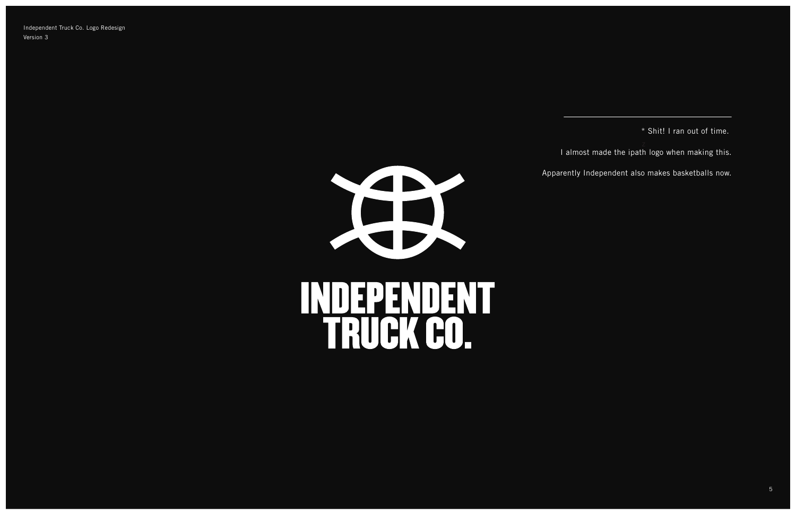\* Shit! I ran out of time. I almost made the ipath logo when making this. Apparently Independent also makes basketballs now.

Independent Truck Co. Logo Redesign Version 3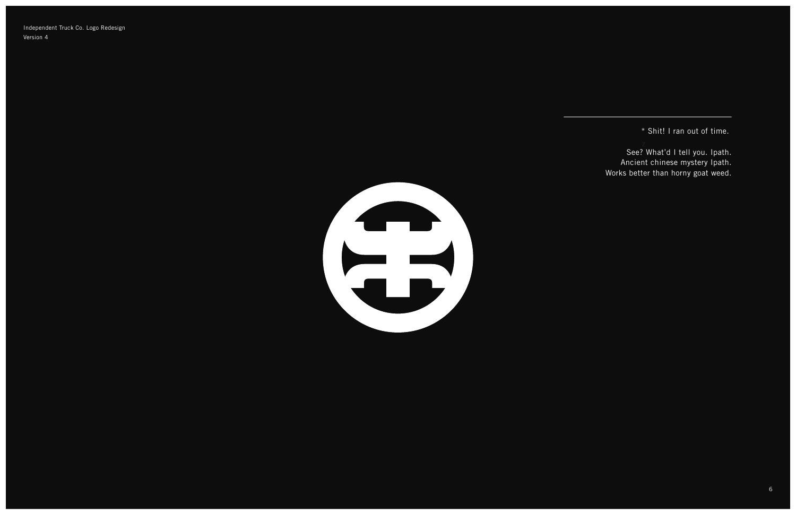\* Shit! I ran out of time.

See? What'd I tell you. Ipath. Ancient chinese mystery Ipath. Works better than horny goat weed.

Independent Truck Co. Logo Redesign Version 4